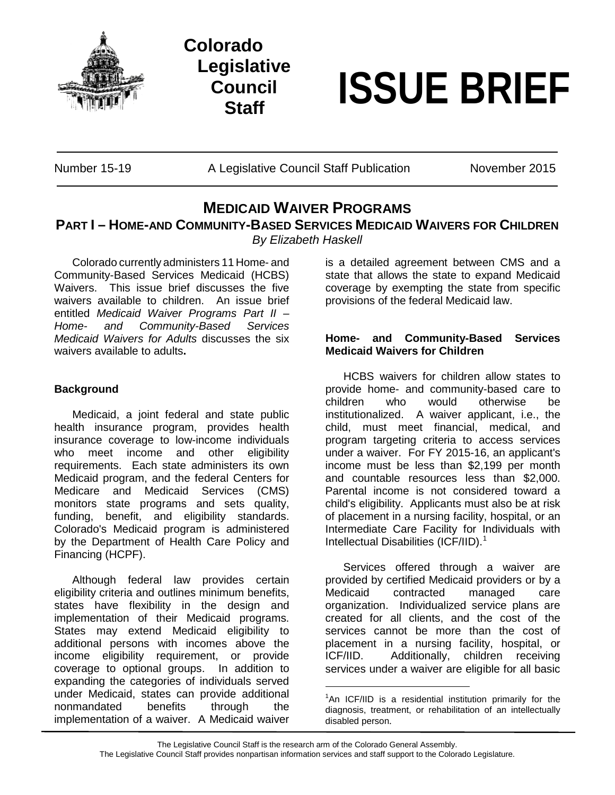

**Colorado Legislative Council**



Number 15-19 **A Legislative Council Staff Publication** November 2015

## **MEDICAID WAIVER PROGRAMS**

**PART I – HOME-AND COMMUNITY-BASED SERVICES MEDICAID WAIVERS FOR CHILDREN**

*By Elizabeth Haskell*

Colorado currently administers 11 Home- and Community-Based Services Medicaid (HCBS) Waivers. This issue brief discusses the five waivers available to children. An issue brief entitled *Medicaid Waiver Programs Part II – Home- and Community-Based Services Medicaid Waivers for Adults* discusses the six waivers available to adults**.**

## **Background**

Medicaid, a joint federal and state public health insurance program, provides health insurance coverage to low-income individuals who meet income and other eligibility requirements. Each state administers its own Medicaid program, and the federal Centers for Medicare and Medicaid Services (CMS) monitors state programs and sets quality, funding, benefit, and eligibility standards. Colorado's Medicaid program is administered by the Department of Health Care Policy and Financing (HCPF).

<span id="page-0-0"></span>Although federal law provides certain eligibility criteria and outlines minimum benefits, states have flexibility in the design and implementation of their Medicaid programs. States may extend Medicaid eligibility to additional persons with incomes above the income eligibility requirement, or provide coverage to optional groups. In addition to expanding the categories of individuals served under Medicaid, states can provide additional nonmandated benefits through the implementation of a waiver. A Medicaid waiver

is a detailed agreement between CMS and a state that allows the state to expand Medicaid coverage by exempting the state from specific provisions of the federal Medicaid law.

## **Home- and Community-Based Services Medicaid Waivers for Children**

HCBS waivers for children allow states to provide home- and community-based care to children who would otherwise be institutionalized. A waiver applicant, i.e., the child, must meet financial, medical, and program targeting criteria to access services under a waiver. For FY 2015-16, an applicant's income must be less than \$2,199 per month and countable resources less than \$2,000. Parental income is not considered toward a child's eligibility. Applicants must also be at risk of placement in a nursing facility, hospital, or an Intermediate Care Facility for Individuals with Intellectual Disabilities (ICF/IID).<sup>[1](#page-0-0)</sup>

Services offered through a waiver are provided by certified Medicaid providers or by a Medicaid contracted managed care organization. Individualized service plans are created for all clients, and the cost of the services cannot be more than the cost of placement in a nursing facility, hospital, or ICF/IID. Additionally, children receiving services under a waiver are eligible for all basic

<sup>&</sup>lt;sup>1</sup>An ICF/IID is a residential institution primarily for the diagnosis, treatment, or rehabilitation of an intellectually disabled person.